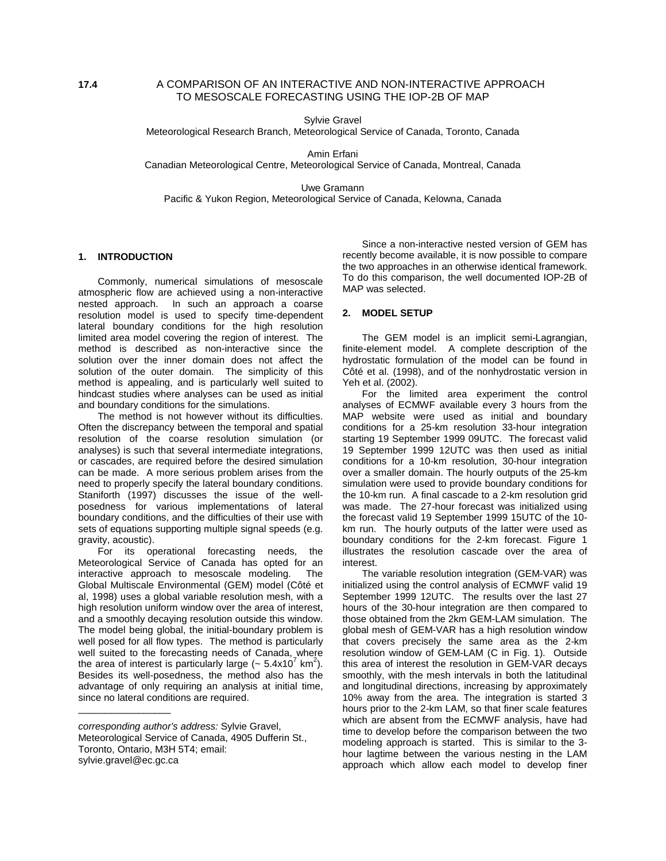Sylvie Gravel

Meteorological Research Branch, Meteorological Service of Canada, Toronto, Canada

Amin Erfani

Canadian Meteorological Centre, Meteorological Service of Canada, Montreal, Canada

Uwe Gramann

Pacific & Yukon Region, Meteorological Service of Canada, Kelowna, Canada

# **1. INTRODUCTION**

Commonly, numerical simulations of mesoscale atmospheric flow are achieved using a non-interactive nested approach. In such an approach a coarse resolution model is used to specify time-dependent lateral boundary conditions for the high resolution limited area model covering the region of interest. The method is described as non-interactive since the solution over the inner domain does not affect the solution of the outer domain. The simplicity of this method is appealing, and is particularly well suited to hindcast studies where analyses can be used as initial and boundary conditions for the simulations.

The method is not however without its difficulties. Often the discrepancy between the temporal and spatial resolution of the coarse resolution simulation (or analyses) is such that several intermediate integrations, or cascades, are required before the desired simulation can be made. A more serious problem arises from the need to properly specify the lateral boundary conditions. Staniforth (1997) discusses the issue of the wellposedness for various implementations of lateral boundary conditions, and the difficulties of their use with sets of equations supporting multiple signal speeds (e.g. gravity, acoustic).

For its operational forecasting needs, the Meteorological Service of Canada has opted for an interactive approach to mesoscale modeling. The Global Multiscale Environmental (GEM) model (Côté et al, 1998) uses a global variable resolution mesh, with a high resolution uniform window over the area of interest, and a smoothly decaying resolution outside this window. The model being global, the initial-boundary problem is well posed for all flow types. The method is particularly well suited to the forecasting needs of Canada, where the area of interest is particularly large ( $\sim 5.4 \times 10^7$  km<sup>2</sup>). Besides its well-posedness, the method also has the advantage of only requiring an analysis at initial time, since no lateral conditions are required.

\_\_\_\_\_\_\_\_\_\_\_\_\_\_\_\_\_

Since a non-interactive nested version of GEM has recently become available, it is now possible to compare the two approaches in an otherwise identical framework. To do this comparison, the well documented IOP-2B of MAP was selected.

#### **2. MODEL SETUP**

The GEM model is an implicit semi-Lagrangian, finite-element model. A complete description of the hydrostatic formulation of the model can be found in Côté et al. (1998), and of the nonhydrostatic version in Yeh et al. (2002).

For the limited area experiment the control analyses of ECMWF available every 3 hours from the MAP website were used as initial and boundary conditions for a 25-km resolution 33-hour integration starting 19 September 1999 09UTC. The forecast valid 19 September 1999 12UTC was then used as initial conditions for a 10-km resolution, 30-hour integration over a smaller domain. The hourly outputs of the 25-km simulation were used to provide boundary conditions for the 10-km run. A final cascade to a 2-km resolution grid was made. The 27-hour forecast was initialized using the forecast valid 19 September 1999 15UTC of the 10 km run. The hourly outputs of the latter were used as boundary conditions for the 2-km forecast. Figure 1 illustrates the resolution cascade over the area of interest.

The variable resolution integration (GEM-VAR) was initialized using the control analysis of ECMWF valid 19 September 1999 12UTC. The results over the last 27 hours of the 30-hour integration are then compared to those obtained from the 2km GEM-LAM simulation. The global mesh of GEM-VAR has a high resolution window that covers precisely the same area as the 2-km resolution window of GEM-LAM (C in Fig. 1). Outside this area of interest the resolution in GEM-VAR decays smoothly, with the mesh intervals in both the latitudinal and longitudinal directions, increasing by approximately 10% away from the area. The integration is started 3 hours prior to the 2-km LAM, so that finer scale features which are absent from the ECMWF analysis, have had time to develop before the comparison between the two modeling approach is started. This is similar to the 3 hour lagtime between the various nesting in the LAM approach which allow each model to develop finer

corresponding author's address: Sylvie Gravel, Meteorological Service of Canada, 4905 Dufferin St., Toronto, Ontario, M3H 5T4; email: sylvie.gravel@ec.gc.ca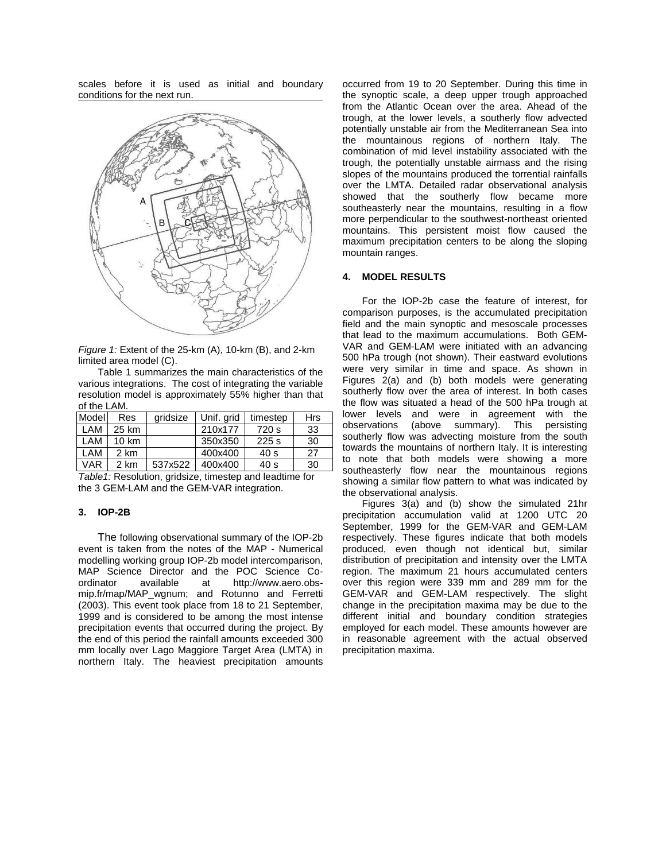scales before it is used as initial and boundary conditions for the next run.



Figure 1: Extent of the 25-km (A), 10-km (B), and 2-km limited area model (C).

Table 1 summarizes the main characteristics of the various integrations. The cost of integrating the variable resolution model is approximately 55% higher than that of the LAM.

| Model      | Res             | aridsize | Unif. grid | timestep | <b>Hrs</b> |
|------------|-----------------|----------|------------|----------|------------|
| L AM       | 25 km           |          | 210x177    | 720 s    | 33         |
| L AM       | $10 \text{ km}$ |          | 350x350    | 225s     | 30         |
| LAM        | 2 km            |          | 400x400    | 40 s     | 27         |
| <b>VAR</b> | 2 km            | 537x522  | 400x400    | 40 s     | 30         |

Table1: Resolution, gridsize, timestep and leadtime for the 3 GEM-LAM and the GEM-VAR integration.

### **3. IOP-2B**

The following observational summary of the IOP-2b event is taken from the notes of the MAP - Numerical modelling working group IOP-2b model intercomparison, MAP Science Director and the POC Science Coordinator available at http://www.aero.obsmip.fr/map/MAP\_wgnum; and Rotunno and Ferretti (2003). This event took place from 18 to 21 September, 1999 and is considered to be among the most intense precipitation events that occurred during the project. By the end of this period the rainfall amounts exceeded 300 mm locally over Lago Maggiore Target Area (LMTA) in northern Italy. The heaviest precipitation amounts

occurred from 19 to 20 September. During this time in the synoptic scale, a deep upper trough approached from the Atlantic Ocean over the area. Ahead of the trough, at the lower levels, a southerly flow advected potentially unstable air from the Mediterranean Sea into the mountainous regions of northern Italy. The combination of mid level instability associated with the trough, the potentially unstable airmass and the rising slopes of the mountains produced the torrential rainfalls over the LMTA. Detailed radar observational analysis showed that the southerly flow became more southeasterly near the mountains, resulting in a flow more perpendicular to the southwest-northeast oriented mountains. This persistent moist flow caused the maximum precipitation centers to be along the sloping mountain ranges.

## **4. MODEL RESULTS**

For the IOP-2b case the feature of interest, for comparison purposes, is the accumulated precipitation field and the main synoptic and mesoscale processes that lead to the maximum accumulations. Both GEM-VAR and GEM-LAM were initiated with an advancing 500 hPa trough (not shown). Their eastward evolutions were very similar in time and space. As shown in Figures 2(a) and (b) both models were generating southerly flow over the area of interest. In both cases the flow was situated a head of the 500 hPa trough at lower levels and were in agreement with the observations (above summary). This persisting southerly flow was advecting moisture from the south towards the mountains of northern Italy. It is interesting to note that both models were showing a more southeasterly flow near the mountainous regions showing a similar flow pattern to what was indicated by the observational analysis.

Figures 3(a) and (b) show the simulated 21hr precipitation accumulation valid at 1200 UTC 20 September, 1999 for the GEM-VAR and GEM-LAM respectively. These figures indicate that both models produced, even though not identical but, similar distribution of precipitation and intensity over the LMTA region. The maximum 21 hours accumulated centers over this region were 339 mm and 289 mm for the GEM-VAR and GEM-LAM respectively. The slight change in the precipitation maxima may be due to the different initial and boundary condition strategies employed for each model. These amounts however are in reasonable agreement with the actual observed precipitation maxima.